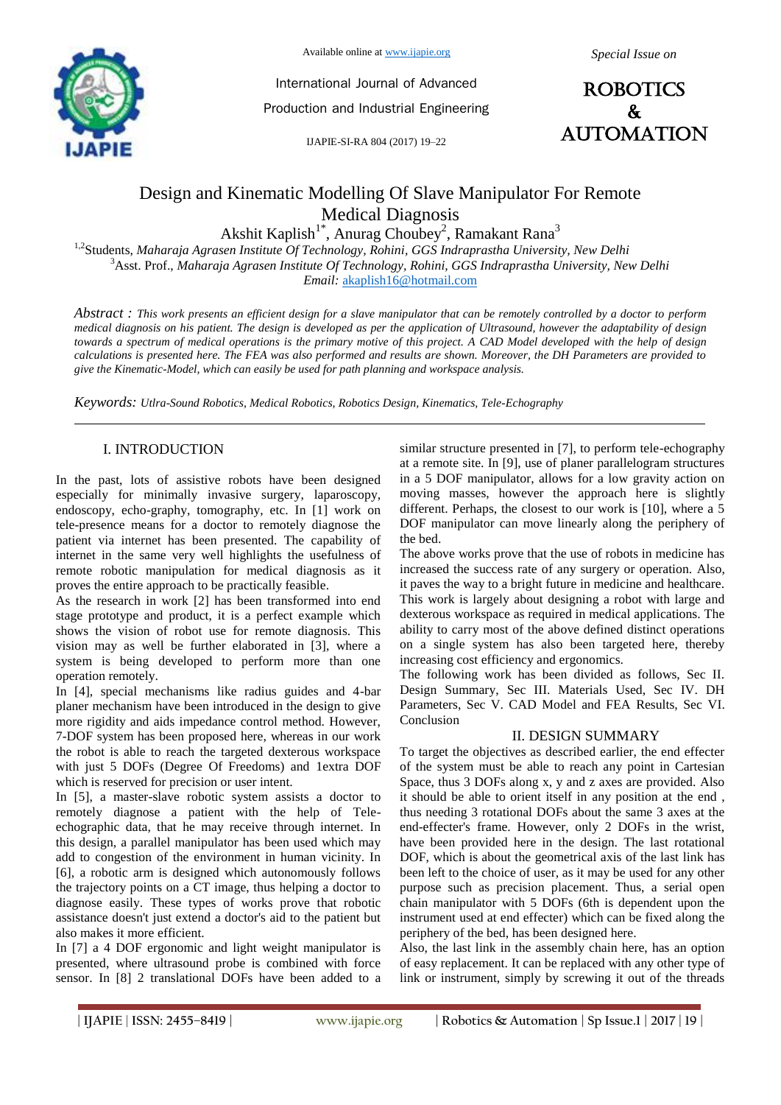

Available online at www.ijapie.org

International Journal of Advanced Production and Industrial Engineering

IJAPIE-SI-RA 804 (2017) 19–22



# Design and Kinematic Modelling Of Slave Manipulator For Remote Medical Diagnosis

Akshit Kaplish<sup>1\*</sup>, Anurag Choubey<sup>2</sup>, Ramakant Rana<sup>3</sup>

1,2Students, *Maharaja Agrasen Institute Of Technology, Rohini, GGS Indraprastha University, New Delhi*  <sup>3</sup>Asst. Prof., *Maharaja Agrasen Institute Of Technology, Rohini, GGS Indraprastha University, New Delhi Email:* akaplish16@hotmail.com

*Abstract : This work presents an efficient design for a slave manipulator that can be remotely controlled by a doctor to perform medical diagnosis on his patient. The design is developed as per the application of Ultrasound, however the adaptability of design towards a spectrum of medical operations is the primary motive of this project. A CAD Model developed with the help of design calculations is presented here. The FEA was also performed and results are shown. Moreover, the DH Parameters are provided to give the Kinematic-Model, which can easily be used for path planning and workspace analysis.*

*Keywords: Utlra-Sound Robotics, Medical Robotics, Robotics Design, Kinematics, Tele-Echography*

#### I. INTRODUCTION

In the past, lots of assistive robots have been designed especially for minimally invasive surgery, laparoscopy, endoscopy, echo-graphy, tomography, etc. In [1] work on tele-presence means for a doctor to remotely diagnose the patient via internet has been presented. The capability of internet in the same very well highlights the usefulness of remote robotic manipulation for medical diagnosis as it proves the entire approach to be practically feasible.

As the research in work [2] has been transformed into end stage prototype and product, it is a perfect example which shows the vision of robot use for remote diagnosis. This vision may as well be further elaborated in [3], where a system is being developed to perform more than one operation remotely.

In [4], special mechanisms like radius guides and 4-bar planer mechanism have been introduced in the design to give more rigidity and aids impedance control method. However, 7-DOF system has been proposed here, whereas in our work the robot is able to reach the targeted dexterous workspace with just 5 DOFs (Degree Of Freedoms) and 1extra DOF which is reserved for precision or user intent.

In [5], a master-slave robotic system assists a doctor to remotely diagnose a patient with the help of Teleechographic data, that he may receive through internet. In this design, a parallel manipulator has been used which may add to congestion of the environment in human vicinity. In [6], a robotic arm is designed which autonomously follows the trajectory points on a CT image, thus helping a doctor to diagnose easily. These types of works prove that robotic assistance doesn't just extend a doctor's aid to the patient but also makes it more efficient.

In [7] a 4 DOF ergonomic and light weight manipulator is presented, where ultrasound probe is combined with force sensor. In [8] 2 translational DOFs have been added to a similar structure presented in [7], to perform tele-echography at a remote site. In [9], use of planer parallelogram structures in a 5 DOF manipulator, allows for a low gravity action on moving masses, however the approach here is slightly different. Perhaps, the closest to our work is [10], where a 5 DOF manipulator can move linearly along the periphery of the bed.

The above works prove that the use of robots in medicine has increased the success rate of any surgery or operation. Also, it paves the way to a bright future in medicine and healthcare. This work is largely about designing a robot with large and dexterous workspace as required in medical applications. The ability to carry most of the above defined distinct operations on a single system has also been targeted here, thereby increasing cost efficiency and ergonomics.

The following work has been divided as follows, Sec II. Design Summary, Sec III. Materials Used, Sec IV. DH Parameters, Sec V. CAD Model and FEA Results, Sec VI. Conclusion

#### II. DESIGN SUMMARY

To target the objectives as described earlier, the end effecter of the system must be able to reach any point in Cartesian Space, thus 3 DOFs along x, y and z axes are provided. Also it should be able to orient itself in any position at the end , thus needing 3 rotational DOFs about the same 3 axes at the end-effecter's frame. However, only 2 DOFs in the wrist, have been provided here in the design. The last rotational DOF, which is about the geometrical axis of the last link has been left to the choice of user, as it may be used for any other purpose such as precision placement. Thus, a serial open chain manipulator with 5 DOFs (6th is dependent upon the instrument used at end effecter) which can be fixed along the periphery of the bed, has been designed here.

Also, the last link in the assembly chain here, has an option of easy replacement. It can be replaced with any other type of link or instrument, simply by screwing it out of the threads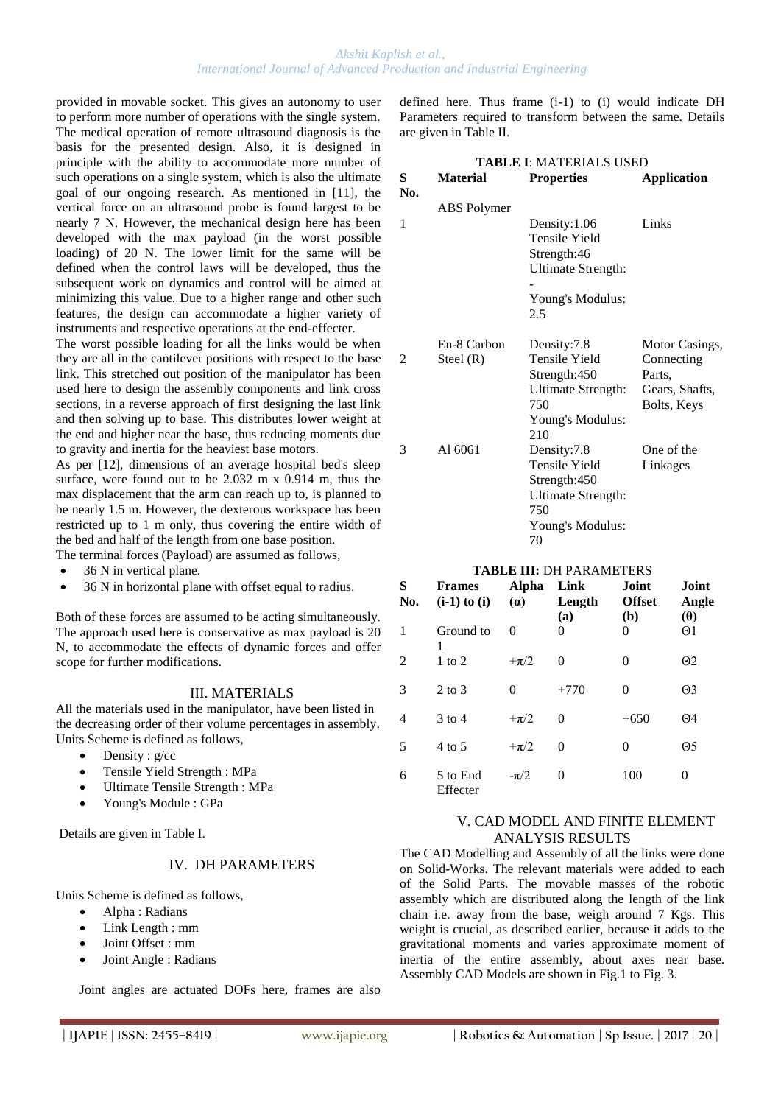provided in movable socket. This gives an autonomy to user to perform more number of operations with the single system. The medical operation of remote ultrasound diagnosis is the basis for the presented design. Also, it is designed in principle with the ability to accommodate more number of such operations on a single system, which is also the ultimate goal of our ongoing research. As mentioned in [11], the vertical force on an ultrasound probe is found largest to be nearly 7 N. However, the mechanical design here has been developed with the max payload (in the worst possible loading) of 20 N. The lower limit for the same will be defined when the control laws will be developed, thus the subsequent work on dynamics and control will be aimed at minimizing this value. Due to a higher range and other such features, the design can accommodate a higher variety of instruments and respective operations at the end-effecter.

The worst possible loading for all the links would be when they are all in the cantilever positions with respect to the base link. This stretched out position of the manipulator has been used here to design the assembly components and link cross sections, in a reverse approach of first designing the last link and then solving up to base. This distributes lower weight at the end and higher near the base, thus reducing moments due to gravity and inertia for the heaviest base motors.

As per [12], dimensions of an average hospital bed's sleep surface, were found out to be 2.032 m x 0.914 m, thus the max displacement that the arm can reach up to, is planned to be nearly 1.5 m. However, the dexterous workspace has been restricted up to 1 m only, thus covering the entire width of the bed and half of the length from one base position. The terminal forces (Payload) are assumed as follows,

- 36 N in vertical plane.
- 36 N in horizontal plane with offset equal to radius.

Both of these forces are assumed to be acting simultaneously. The approach used here is conservative as max payload is 20 N, to accommodate the effects of dynamic forces and offer scope for further modifications.

## III. MATERIALS

All the materials used in the manipulator, have been listed in the decreasing order of their volume percentages in assembly. Units Scheme is defined as follows,

- $\bullet$  Density : g/cc
- Tensile Yield Strength : MPa
- Ultimate Tensile Strength : MPa
- Young's Module : GPa

Details are given in Table I.

## IV. DH PARAMETERS

Units Scheme is defined as follows,

- Alpha : Radians
- Link Length : mm
- Joint Offset : mm
- Joint Angle : Radians

Joint angles are actuated DOFs here, frames are also

defined here. Thus frame (i-1) to (i) would indicate DH Parameters required to transform between the same. Details are given in Table II.

| <b>TABLE I: MATERIALS USED</b> |                    |                           |                    |  |  |  |  |  |
|--------------------------------|--------------------|---------------------------|--------------------|--|--|--|--|--|
| S                              | <b>Material</b>    | <b>Properties</b>         | <b>Application</b> |  |  |  |  |  |
| No.                            |                    |                           |                    |  |  |  |  |  |
|                                | <b>ABS</b> Polymer |                           |                    |  |  |  |  |  |
| 1                              |                    | Density:1.06              | Links              |  |  |  |  |  |
|                                |                    | Tensile Yield             |                    |  |  |  |  |  |
|                                |                    | Strength:46               |                    |  |  |  |  |  |
|                                |                    | <b>Ultimate Strength:</b> |                    |  |  |  |  |  |
|                                |                    |                           |                    |  |  |  |  |  |
|                                |                    | Young's Modulus:          |                    |  |  |  |  |  |
|                                |                    | 2.5                       |                    |  |  |  |  |  |
|                                |                    |                           |                    |  |  |  |  |  |
|                                | En-8 Carbon        | Density:7.8               | Motor Casings,     |  |  |  |  |  |
| 2                              | Steel $(R)$        | Tensile Yield             | Connecting         |  |  |  |  |  |
|                                |                    | Strength:450              | Parts,             |  |  |  |  |  |
|                                |                    | Ultimate Strength:        | Gears, Shafts,     |  |  |  |  |  |
|                                |                    | 750                       | Bolts, Keys        |  |  |  |  |  |
|                                |                    | Young's Modulus:          |                    |  |  |  |  |  |
|                                |                    | 210                       |                    |  |  |  |  |  |
| 3                              | Al 6061            | Density:7.8               | One of the         |  |  |  |  |  |
|                                |                    | Tensile Yield             | Linkages           |  |  |  |  |  |
|                                |                    | Strength:450              |                    |  |  |  |  |  |
|                                |                    | Ultimate Strength:        |                    |  |  |  |  |  |
|                                |                    | 750                       |                    |  |  |  |  |  |
|                                |                    | Young's Modulus:          |                    |  |  |  |  |  |
|                                |                    | 70                        |                    |  |  |  |  |  |

## **TABLE III:** DH PARAMETERS

| S<br>No. | <b>Frames</b><br>$(i-1)$ to $(i)$ | Alpha<br>(a) | Link<br>Length<br>(a) | Joint<br><b>Offset</b><br>(b) | Joint<br>Angle<br>(0) |
|----------|-----------------------------------|--------------|-----------------------|-------------------------------|-----------------------|
| 1        | Ground to<br>1                    | 0            | 0                     | 0                             | $\Theta$ 1            |
| 2        | $1$ to $2$                        | $+\pi/2$     | 0                     | 0                             | $\Theta$ 2            |
| 3        | $2 \text{ to } 3$                 | 0            | $+770$                | 0                             | $\Theta$ 3            |
| 4        | $3$ to 4                          | $+\pi/2$     | 0                     | $+650$                        | $\Theta$ 4            |
| 5        | 4 to 5                            | $+\pi/2$     | 0                     | 0                             | $\Theta$ 5            |
| 6        | 5 to End<br>Effecter              | $-\pi/2$     | 0                     | 100                           | 0                     |

## V. CAD MODEL AND FINITE ELEMENT ANALYSIS RESULTS

The CAD Modelling and Assembly of all the links were done on Solid-Works. The relevant materials were added to each of the Solid Parts. The movable masses of the robotic assembly which are distributed along the length of the link chain i.e. away from the base, weigh around 7 Kgs. This weight is crucial, as described earlier, because it adds to the gravitational moments and varies approximate moment of inertia of the entire assembly, about axes near base. Assembly CAD Models are shown in Fig.1 to Fig. 3.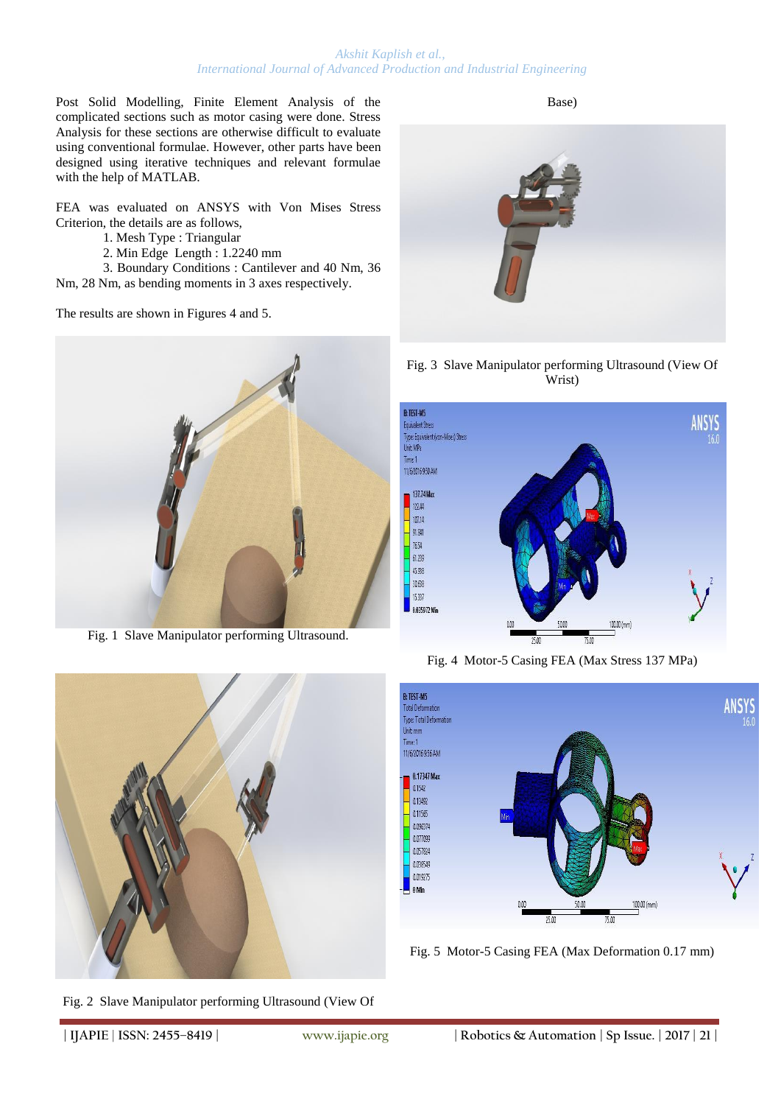#### *Akshit Kaplish et al., International Journal of Advanced Production and Industrial Engineering*

Post Solid Modelling, Finite Element Analysis of the complicated sections such as motor casing were done. Stress Analysis for these sections are otherwise difficult to evaluate using conventional formulae. However, other parts have been designed using iterative techniques and relevant formulae with the help of MATLAB.

FEA was evaluated on ANSYS with Von Mises Stress Criterion, the details are as follows,

- 1. Mesh Type : Triangular
- 2. Min Edge Length : 1.2240 mm

3. Boundary Conditions : Cantilever and 40 Nm, 36 Nm, 28 Nm, as bending moments in 3 axes respectively.

The results are shown in Figures 4 and 5.



Fig. 1 Slave Manipulator performing Ultrasound.



Fig. 2 Slave Manipulator performing Ultrasound (View Of

Base)

Fig. 3 Slave Manipulator performing Ultrasound (View Of Wrist)



Fig. 4 Motor-5 Casing FEA (Max Stress 137 MPa)



Fig. 5 Motor-5 Casing FEA (Max Deformation 0.17 mm)